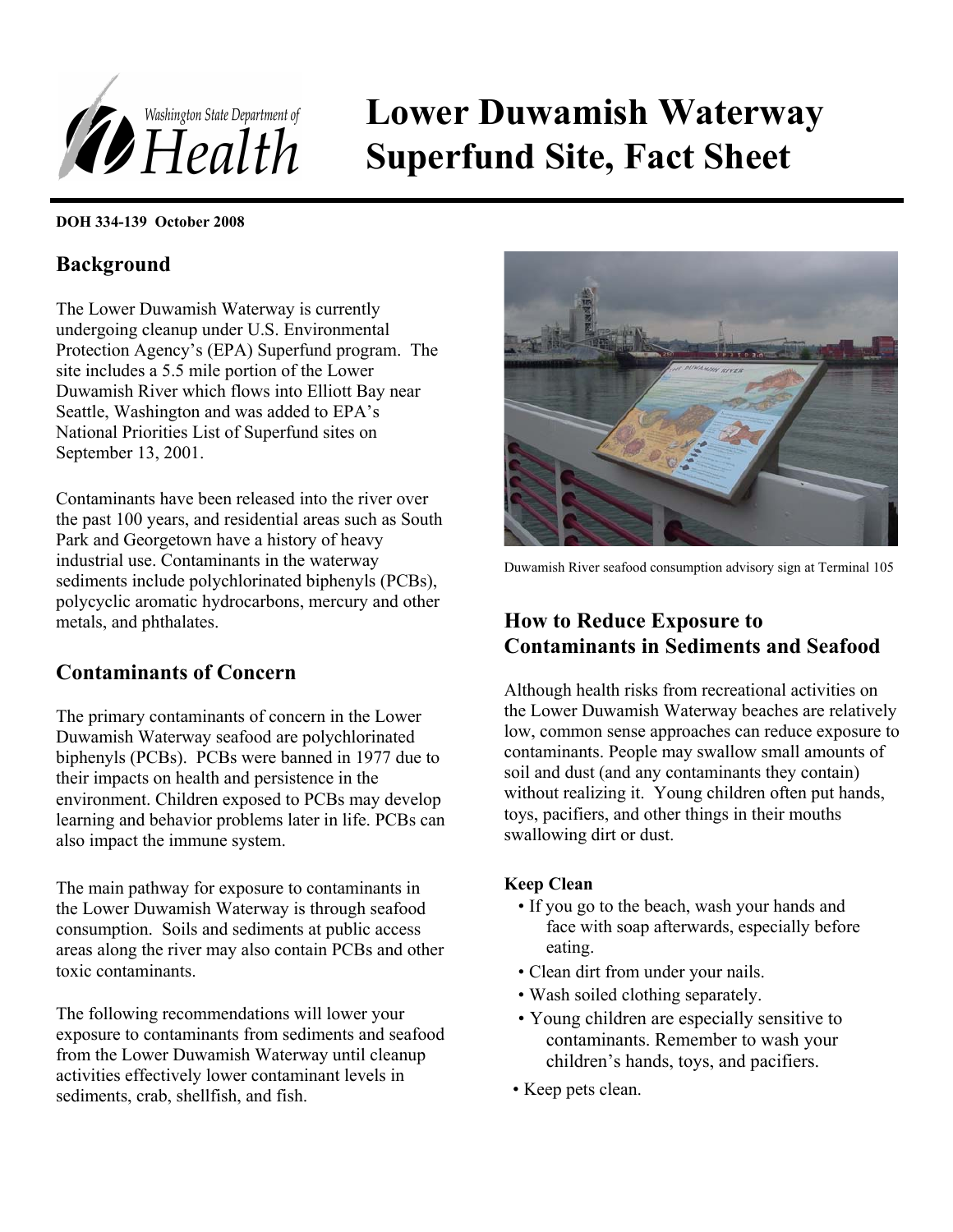

# **Lower Duwamish Waterway Superfund Site, Fact Sheet**

#### **DOH 334-139 October 2008**

# **Background**

The Lower Duwamish Waterway is currently undergoing cleanup under U.S. Environmental Protection Agency's (EPA) Superfund program. The site includes a 5.5 mile portion of the Lower Duwamish River which flows into Elliott Bay near Seattle, Washington and was added to EPA's National Priorities List of Superfund sites on September 13, 2001.

Contaminants have been released into the river over the past 100 years, and residential areas such as South Park and Georgetown have a history of heavy industrial use. Contaminants in the waterway sediments include polychlorinated biphenyls (PCBs), polycyclic aromatic hydrocarbons, mercury and other metals, and phthalates.

## **Contaminants of Concern**

The primary contaminants of concern in the Lower Duwamish Waterway seafood are polychlorinated biphenyls (PCBs). PCBs were banned in 1977 due to their impacts on health and persistence in the environment. Children exposed to PCBs may develop learning and behavior problems later in life. PCBs can also impact the immune system.

The main pathway for exposure to contaminants in the Lower Duwamish Waterway is through seafood consumption. Soils and sediments at public access areas along the river may also contain PCBs and other toxic contaminants.

The following recommendations will lower your exposure to contaminants from sediments and seafood from the Lower Duwamish Waterway until cleanup activities effectively lower contaminant levels in sediments, crab, shellfish, and fish. • Keep pets clean.



Duwamish River seafood consumption advisory sign at Terminal 105

# **How to Reduce Exposure to Contaminants in Sediments and Seafood**

Although health risks from recreational activities on the Lower Duwamish Waterway beaches are relatively low, common sense approaches can reduce exposure to contaminants. People may swallow small amounts of soil and dust (and any contaminants they contain) without realizing it. Young children often put hands, toys, pacifiers, and other things in their mouths swallowing dirt or dust.

### **Keep Clean**

- If you go to the beach, wash your hands and face with soap afterwards, especially before eating.
- Clean dirt from under your nails.
- Wash soiled clothing separately.
- Young children are especially sensitive to contaminants. Remember to wash your children's hands, toys, and pacifiers.
-